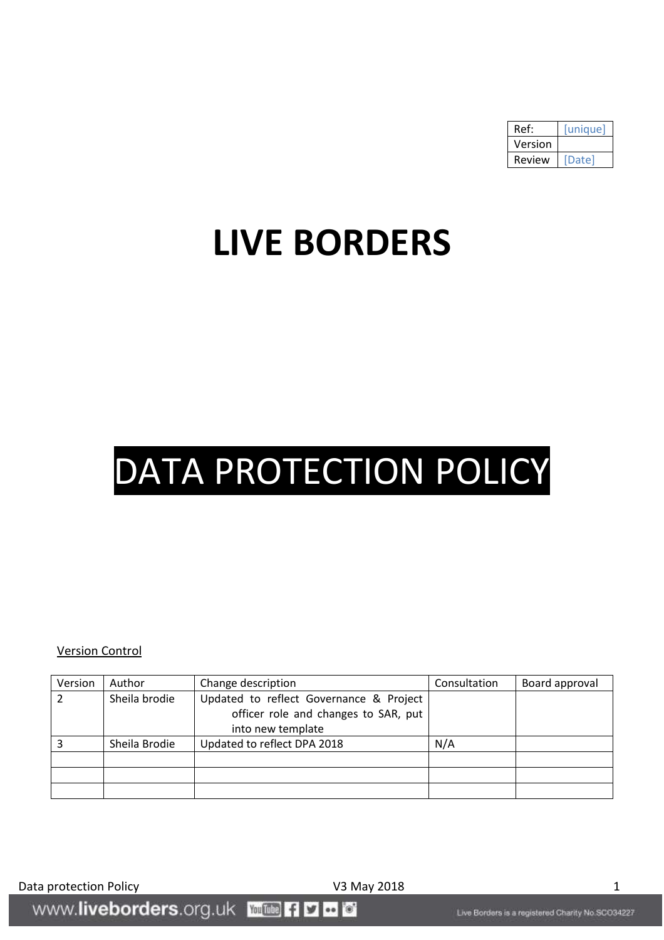| Ref:    | unique |
|---------|--------|
| Version |        |
| Review  | Date   |

## **LIVE BORDERS**

# DATA PROTECTION POLICY

#### Version Control

| Version | Author        | Change description                                                              | Consultation | Board approval |
|---------|---------------|---------------------------------------------------------------------------------|--------------|----------------|
|         | Sheila brodie | Updated to reflect Governance & Project<br>officer role and changes to SAR, put |              |                |
|         |               | into new template                                                               |              |                |
|         | Sheila Brodie | Updated to reflect DPA 2018                                                     | N/A          |                |
|         |               |                                                                                 |              |                |
|         |               |                                                                                 |              |                |
|         |               |                                                                                 |              |                |

Data protection Policy and American COM V3 May 2018 1991 1992 1994

www.liveborders.org.uk **William F1 D C C**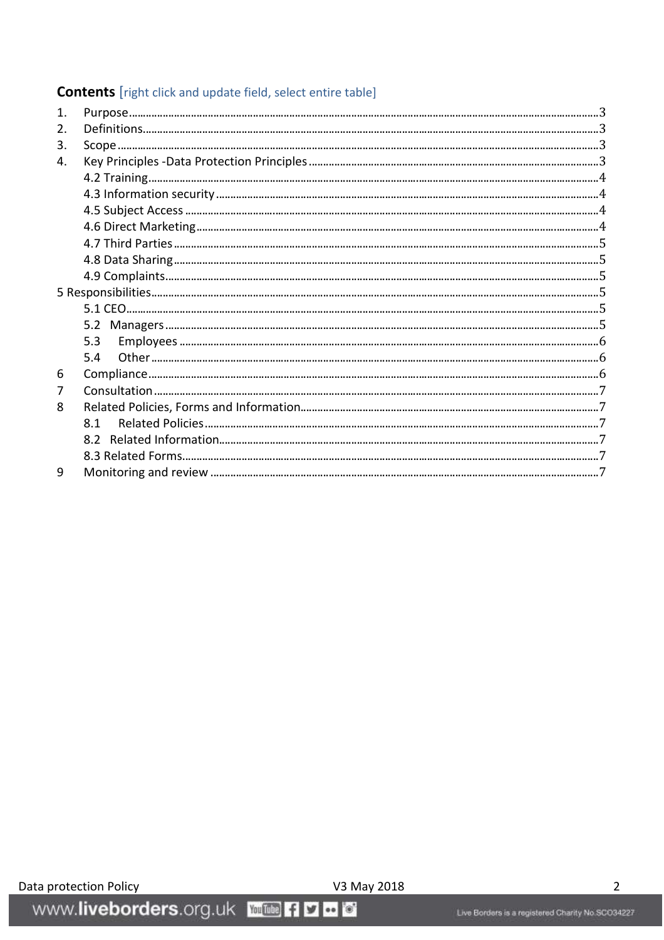### **Contents** [right click and update field, select entire table]

| $\mathbf{1}$ |     |  |
|--------------|-----|--|
| 2.           |     |  |
| 3.           |     |  |
| 4.           |     |  |
|              |     |  |
|              |     |  |
|              |     |  |
|              |     |  |
|              |     |  |
|              |     |  |
|              |     |  |
|              |     |  |
|              |     |  |
|              |     |  |
|              | 5.3 |  |
|              | 5.4 |  |
| 6            |     |  |
| 7            |     |  |
| 8            |     |  |
|              | 8.1 |  |
|              |     |  |
|              |     |  |
| 9            |     |  |
|              |     |  |

www.liveborders.org.uk **Wille 49 a 6** 

V3 May 2018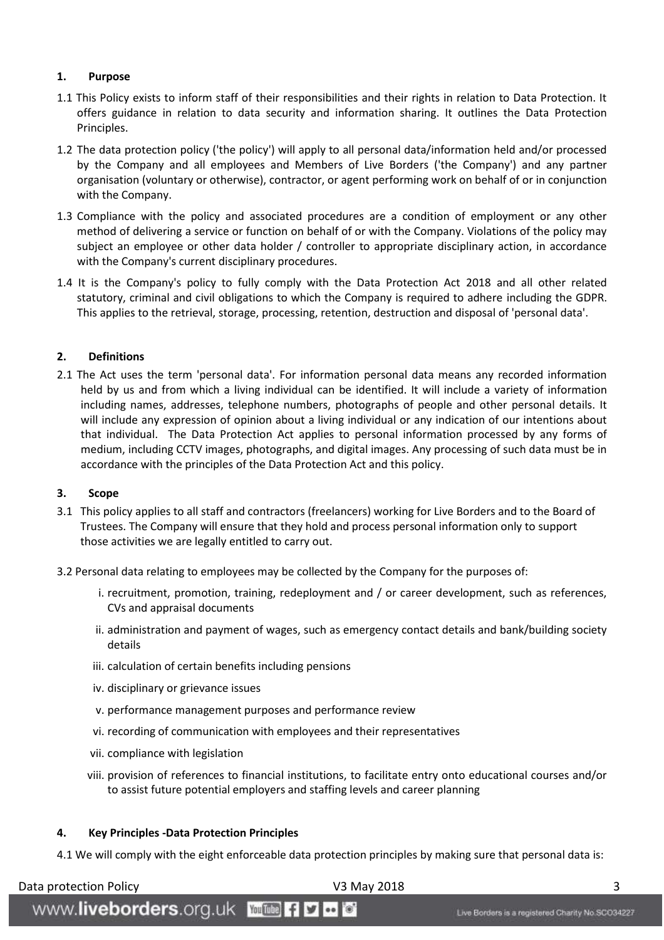#### <span id="page-2-0"></span>**1. Purpose**

- 1.1 This Policy exists to inform staff of their responsibilities and their rights in relation to Data Protection. It offers guidance in relation to data security and information sharing. It outlines the Data Protection Principles.
- 1.2 The data protection policy ('the policy') will apply to all personal data/information held and/or processed by the Company and all employees and Members of Live Borders ('the Company') and any partner organisation (voluntary or otherwise), contractor, or agent performing work on behalf of or in conjunction with the Company.
- 1.3 Compliance with the policy and associated procedures are a condition of employment or any other method of delivering a service or function on behalf of or with the Company. Violations of the policy may subject an employee or other data holder / controller to appropriate disciplinary action, in accordance with the Company's current disciplinary procedures.
- 1.4 It is the Company's policy to fully comply with the Data Protection Act 2018 and all other related statutory, criminal and civil obligations to which the Company is required to adhere including the GDPR. This applies to the retrieval, storage, processing, retention, destruction and disposal of 'personal data'.

#### <span id="page-2-1"></span>**2. Definitions**

2.1 The Act uses the term 'personal data'. For information personal data means any recorded information held by us and from which a living individual can be identified. It will include a variety of information including names, addresses, telephone numbers, photographs of people and other personal details. It will include any expression of opinion about a living individual or any indication of our intentions about that individual. The Data Protection Act applies to personal information processed by any forms of medium, including CCTV images, photographs, and digital images. Any processing of such data must be in accordance with the principles of the Data Protection Act and this policy.

#### <span id="page-2-2"></span>**3. Scope**

- 3.1 This policy applies to all staff and contractors (freelancers) working for Live Borders and to the Board of Trustees. The Company will ensure that they hold and process personal information only to support those activities we are legally entitled to carry out.
- 3.2 Personal data relating to employees may be collected by the Company for the purposes of:
	- i. recruitment, promotion, training, redeployment and / or career development, such as references, CVs and appraisal documents
	- ii. administration and payment of wages, such as emergency contact details and bank/building society details
	- iii. calculation of certain benefits including pensions
	- iv. disciplinary or grievance issues
	- v. performance management purposes and performance review
	- vi. recording of communication with employees and their representatives
	- vii. compliance with legislation
	- viii. provision of references to financial institutions, to facilitate entry onto educational courses and/or to assist future potential employers and staffing levels and career planning

#### <span id="page-2-3"></span>**4. Key Principles -Data Protection Principles**

www.liveborders.org.uk **William fi y to** 

4.1 We will comply with the eight enforceable data protection principles by making sure that personal data is:

Data protection Policy National Control of New Y3 May 2018 3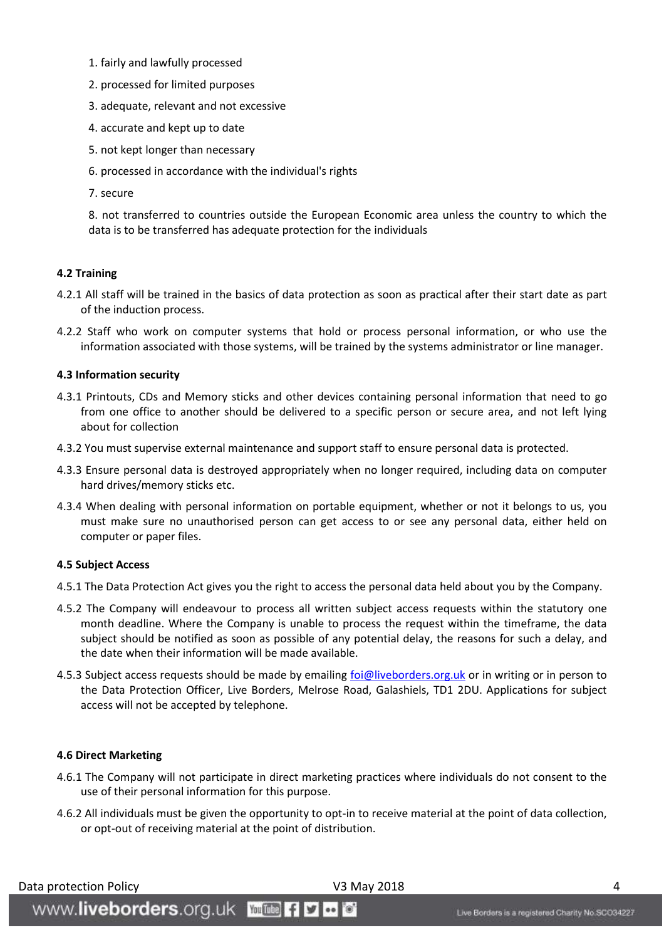- 1. fairly and lawfully processed
- 2. processed for limited purposes
- 3. adequate, relevant and not excessive
- 4. accurate and kept up to date
- 5. not kept longer than necessary
- 6. processed in accordance with the individual's rights
- 7. secure

8. not transferred to countries outside the European Economic area unless the country to which the data is to be transferred has adequate protection for the individuals

#### <span id="page-3-0"></span>**4.2 Training**

- 4.2.1 All staff will be trained in the basics of data protection as soon as practical after their start date as part of the induction process.
- 4.2.2 Staff who work on computer systems that hold or process personal information, or who use the information associated with those systems, will be trained by the systems administrator or line manager.

#### <span id="page-3-1"></span>**4.3 Information security**

- 4.3.1 Printouts, CDs and Memory sticks and other devices containing personal information that need to go from one office to another should be delivered to a specific person or secure area, and not left lying about for collection
- 4.3.2 You must supervise external maintenance and support staff to ensure personal data is protected.
- 4.3.3 Ensure personal data is destroyed appropriately when no longer required, including data on computer hard drives/memory sticks etc.
- 4.3.4 When dealing with personal information on portable equipment, whether or not it belongs to us, you must make sure no unauthorised person can get access to or see any personal data, either held on computer or paper files.

#### <span id="page-3-2"></span>**4.5 Subject Access**

- 4.5.1 The Data Protection Act gives you the right to access the personal data held about you by the Company.
- 4.5.2 The Company will endeavour to process all written subject access requests within the statutory one month deadline. Where the Company is unable to process the request within the timeframe, the data subject should be notified as soon as possible of any potential delay, the reasons for such a delay, and the date when their information will be made available.
- 4.5.3 Subject access requests should be made by emailing [foi@liveborders.org.uk](mailto:foi@liveborders.org.uk) or in writing or in person to the Data Protection Officer, Live Borders, Melrose Road, Galashiels, TD1 2DU. Applications for subject access will not be accepted by telephone.

#### <span id="page-3-3"></span>**4.6 Direct Marketing**

- 4.6.1 The Company will not participate in direct marketing practices where individuals do not consent to the use of their personal information for this purpose.
- 4.6.2 All individuals must be given the opportunity to opt-in to receive material at the point of data collection, or opt-out of receiving material at the point of distribution.

Data protection Policy National Control of New Y3 May 2018 4 American Control of America Australian Control of A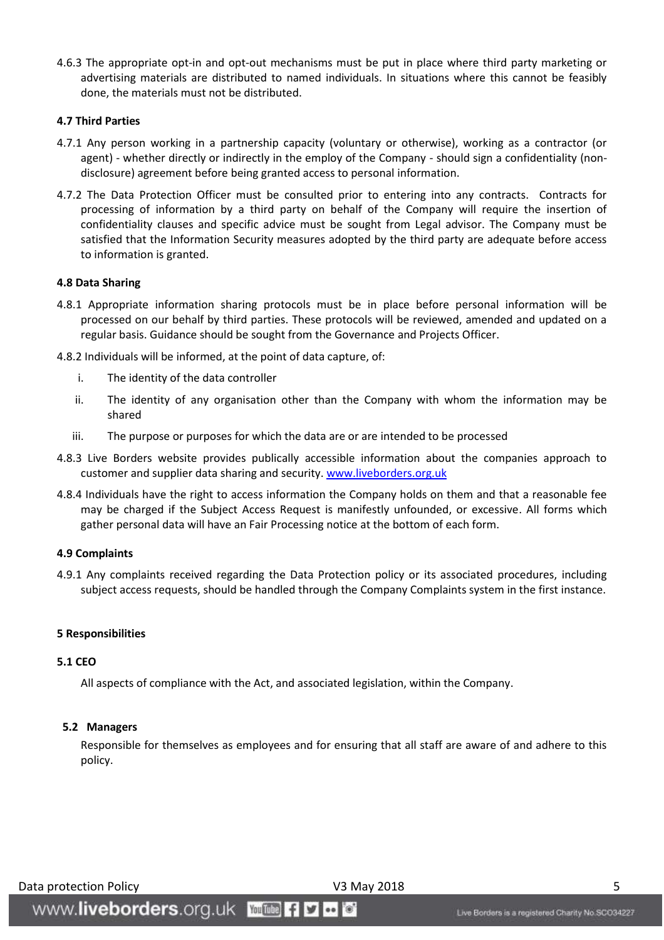4.6.3 The appropriate opt-in and opt-out mechanisms must be put in place where third party marketing or advertising materials are distributed to named individuals. In situations where this cannot be feasibly done, the materials must not be distributed.

#### <span id="page-4-0"></span>**4.7 Third Parties**

- 4.7.1 Any person working in a partnership capacity (voluntary or otherwise), working as a contractor (or agent) - whether directly or indirectly in the employ of the Company - should sign a confidentiality (nondisclosure) agreement before being granted access to personal information.
- 4.7.2 The Data Protection Officer must be consulted prior to entering into any contracts. Contracts for processing of information by a third party on behalf of the Company will require the insertion of confidentiality clauses and specific advice must be sought from Legal advisor. The Company must be satisfied that the Information Security measures adopted by the third party are adequate before access to information is granted.

#### <span id="page-4-1"></span>**4.8 Data Sharing**

- 4.8.1 Appropriate information sharing protocols must be in place before personal information will be processed on our behalf by third parties. These protocols will be reviewed, amended and updated on a regular basis. Guidance should be sought from the Governance and Projects Officer.
- 4.8.2 Individuals will be informed, at the point of data capture, of:
	- i. The identity of the data controller
	- ii. The identity of any organisation other than the Company with whom the information may be shared
	- iii. The purpose or purposes for which the data are or are intended to be processed
- 4.8.3 Live Borders website provides publically accessible information about the companies approach to customer and supplier data sharing and security[. www.liveborders.org.uk](http://www.liveborders.org.uk/)
- 4.8.4 Individuals have the right to access information the Company holds on them and that a reasonable fee may be charged if the Subject Access Request is manifestly unfounded, or excessive. All forms which gather personal data will have an Fair Processing notice at the bottom of each form.

#### <span id="page-4-2"></span>**4.9 Complaints**

4.9.1 Any complaints received regarding the Data Protection policy or its associated procedures, including subject access requests, should be handled through the Company Complaints system in the first instance.

#### <span id="page-4-3"></span>**5 Responsibilities**

#### <span id="page-4-4"></span>**5.1 CEO**

All aspects of compliance with the Act, and associated legislation, within the Company.

#### <span id="page-4-5"></span> **5.2 Managers**

Responsible for themselves as employees and for ensuring that all staff are aware of and adhere to this policy.

#### Data protection Policy **National Contract Contract Contract V3 May 2018** 5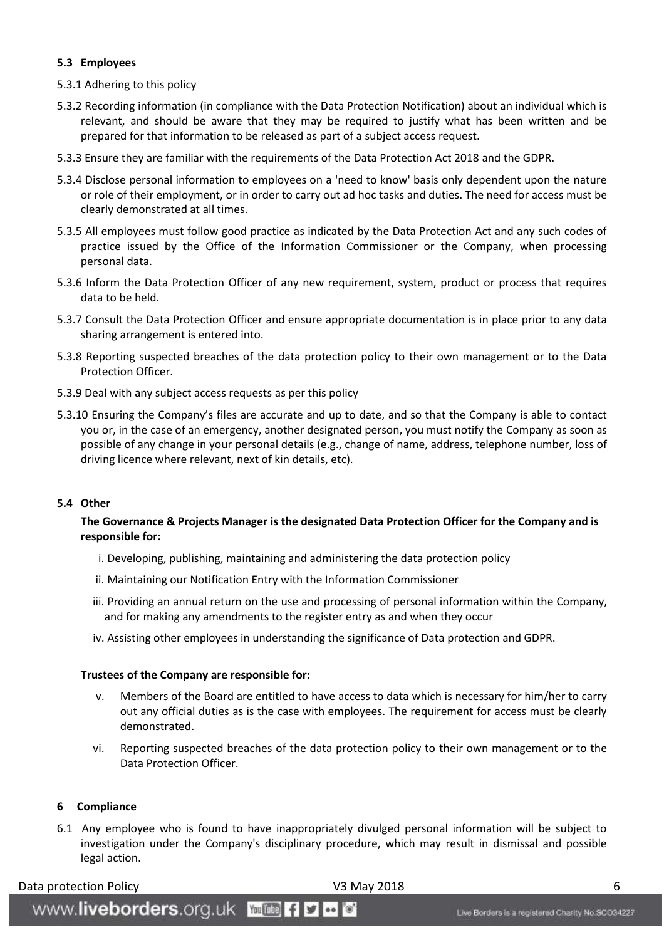#### <span id="page-5-0"></span>**5.3 Employees**

- 5.3.1 Adhering to this policy
- 5.3.2 Recording information (in compliance with the Data Protection Notification) about an individual which is relevant, and should be aware that they may be required to justify what has been written and be prepared for that information to be released as part of a subject access request.
- 5.3.3 Ensure they are familiar with the requirements of the Data Protection Act 2018 and the GDPR.
- 5.3.4 Disclose personal information to employees on a 'need to know' basis only dependent upon the nature or role of their employment, or in order to carry out ad hoc tasks and duties. The need for access must be clearly demonstrated at all times.
- 5.3.5 All employees must follow good practice as indicated by the Data Protection Act and any such codes of practice issued by the Office of the Information Commissioner or the Company, when processing personal data.
- 5.3.6 Inform the Data Protection Officer of any new requirement, system, product or process that requires data to be held.
- 5.3.7 Consult the Data Protection Officer and ensure appropriate documentation is in place prior to any data sharing arrangement is entered into.
- 5.3.8 Reporting suspected breaches of the data protection policy to their own management or to the Data Protection Officer.
- 5.3.9 Deal with any subject access requests as per this policy
- 5.3.10 Ensuring the Company's files are accurate and up to date, and so that the Company is able to contact you or, in the case of an emergency, another designated person, you must notify the Company as soon as possible of any change in your personal details (e.g., change of name, address, telephone number, loss of driving licence where relevant, next of kin details, etc).

#### <span id="page-5-1"></span>**5.4 Other**

#### **The Governance & Projects Manager is the designated Data Protection Officer for the Company and is responsible for:**

- i. Developing, publishing, maintaining and administering the data protection policy
- ii. Maintaining our Notification Entry with the Information Commissioner
- iii. Providing an annual return on the use and processing of personal information within the Company, and for making any amendments to the register entry as and when they occur
- iv. Assisting other employees in understanding the significance of Data protection and GDPR.

#### **Trustees of the Company are responsible for:**

WWW.liveborders.org.uk Woutune fly to

- v. Members of the Board are entitled to have access to data which is necessary for him/her to carry out any official duties as is the case with employees. The requirement for access must be clearly demonstrated.
- vi. Reporting suspected breaches of the data protection policy to their own management or to the Data Protection Officer.

#### <span id="page-5-2"></span>**6 Compliance**

6.1 Any employee who is found to have inappropriately divulged personal information will be subject to investigation under the Company's disciplinary procedure, which may result in dismissal and possible legal action.

#### Data protection Policy **Canadian Control Control Control Control Control Control Control Control Control Control Control Control Control Control Control Control Control Control Control Control Control Control Control Contr**